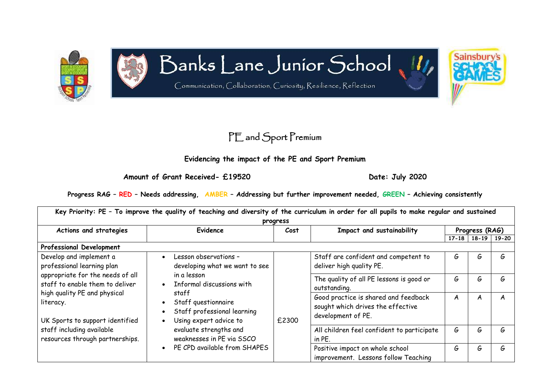

## Banks Lane Junior School

Communication, Collaboration, Curiosity, Resilience, Reflection



## **Evidencing the impact of the PE and Sport Premium**

**Amount of Grant Received- £19520 Date: July 2020**

Sainsbury

**Progress RAG – RED – Needs addressing, AMBER – Addressing but further improvement needed, GREEN – Achieving consistently**

| Key Priority: PE - To improve the quality of teaching and diversity of the curriculum in order for all pupils to make regular and sustained |                                                                                       |       |                                                                                                 |                |                 |   |
|---------------------------------------------------------------------------------------------------------------------------------------------|---------------------------------------------------------------------------------------|-------|-------------------------------------------------------------------------------------------------|----------------|-----------------|---|
| progress<br>Evidence<br>Actions and strategies                                                                                              |                                                                                       |       | Impact and sustainability                                                                       | Progress (RAG) |                 |   |
|                                                                                                                                             |                                                                                       |       |                                                                                                 | $17 - 18$      | $18-19$   19-20 |   |
| Professional Development                                                                                                                    |                                                                                       |       |                                                                                                 |                |                 |   |
| Develop and implement a<br>professional learning plan                                                                                       | Lesson observations -<br>developing what we want to see                               |       | Staff are confident and competent to<br>deliver high quality PE.                                | G              | G               | G |
| appropriate for the needs of all<br>staff to enable them to deliver                                                                         | in a lesson<br>Informal discussions with                                              |       | The quality of all PE lessons is good or<br>outstanding.                                        | G              | G               | G |
| high quality PE and physical<br>literacy.<br>UK Sports to support identified                                                                | staff<br>Staff questionnaire<br>Staff professional learning<br>Using expert advice to | £2300 | Good practice is shared and feedback<br>sought which drives the effective<br>development of PE. | A              | A               | A |
| staff including available<br>resources through partnerships.                                                                                | evaluate strengths and<br>weaknesses in PE via SSCO                                   |       | All children feel confident to participate<br>in PE.                                            | G              | G               | G |
|                                                                                                                                             | PE CPD available from SHAPES                                                          |       | Positive impact on whole school<br>improvement. Lessons follow Teaching                         | G              | G               | G |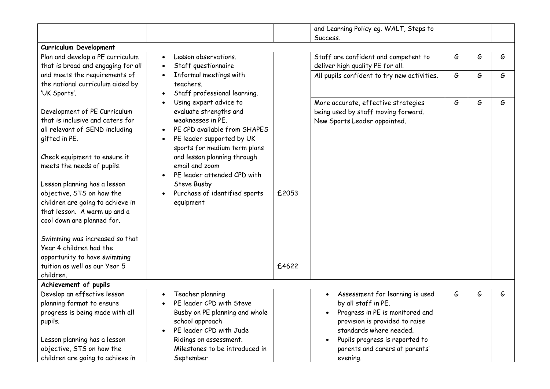|                                    |                                       |       | and Learning Policy eg. WALT, Steps to       |   |   |   |
|------------------------------------|---------------------------------------|-------|----------------------------------------------|---|---|---|
|                                    |                                       |       | Success.                                     |   |   |   |
| Curriculum Development             |                                       |       |                                              |   |   |   |
| Plan and develop a PE curriculum   | Lesson observations.                  |       | Staff are confident and competent to         | G | G | G |
| that is broad and engaging for all | Staff questionnaire                   |       | deliver high quality PE for all.             |   |   |   |
| and meets the requirements of      | Informal meetings with                |       | All pupils confident to try new activities.  | G | G | G |
| the national curriculum aided by   | teachers.                             |       |                                              |   |   |   |
| 'UK Sports'.                       | Staff professional learning.          |       |                                              |   |   |   |
|                                    | Using expert advice to                |       | More accurate, effective strategies          | G | G | G |
| Development of PE Curriculum       | evaluate strengths and                |       | being used by staff moving forward.          |   |   |   |
| that is inclusive and caters for   | weaknesses in PE.                     |       | New Sports Leader appointed.                 |   |   |   |
| all relevant of SEND including     | PE CPD available from SHAPES          |       |                                              |   |   |   |
| gifted in PE.                      | PE leader supported by UK             |       |                                              |   |   |   |
|                                    | sports for medium term plans          |       |                                              |   |   |   |
| Check equipment to ensure it       | and lesson planning through           |       |                                              |   |   |   |
| meets the needs of pupils.         | email and zoom                        |       |                                              |   |   |   |
|                                    | PE leader attended CPD with           |       |                                              |   |   |   |
| Lesson planning has a lesson       | Steve Busby                           |       |                                              |   |   |   |
| objective, STS on how the          | Purchase of identified sports         | £2053 |                                              |   |   |   |
| children are going to achieve in   | equipment                             |       |                                              |   |   |   |
| that lesson. A warm up and a       |                                       |       |                                              |   |   |   |
| cool down are planned for.         |                                       |       |                                              |   |   |   |
| Swimming was increased so that     |                                       |       |                                              |   |   |   |
| Year 4 children had the            |                                       |       |                                              |   |   |   |
| opportunity to have swimming       |                                       |       |                                              |   |   |   |
| tuition as well as our Year 5      |                                       | £4622 |                                              |   |   |   |
| children.                          |                                       |       |                                              |   |   |   |
| Achievement of pupils              |                                       |       |                                              |   |   |   |
| Develop an effective lesson        | Teacher planning                      |       | Assessment for learning is used<br>$\bullet$ | G | G | G |
| planning format to ensure          | PE leader CPD with Steve<br>$\bullet$ |       | by all staff in PE.                          |   |   |   |
| progress is being made with all    | Busby on PE planning and whole        |       | Progress in PE is monitored and              |   |   |   |
| pupils.                            | school approach                       |       | provision is provided to raise               |   |   |   |
|                                    | PE leader CPD with Jude               |       | standards where needed.                      |   |   |   |
| Lesson planning has a lesson       | Ridings on assessment.                |       | Pupils progress is reported to<br>$\bullet$  |   |   |   |
| objective, STS on how the          | Milestones to be introduced in        |       | parents and carers at parents'               |   |   |   |
| children are going to achieve in   | September                             |       | evening.                                     |   |   |   |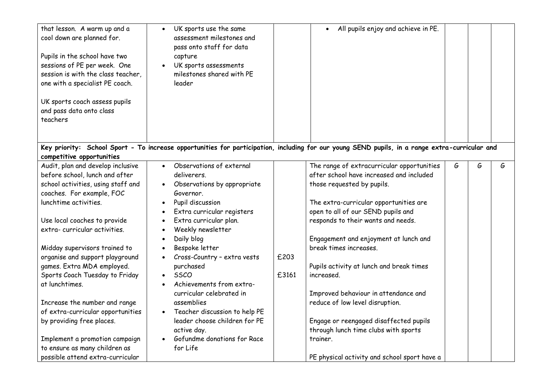| that lesson. A warm up and a<br>cool down are planned for.<br>Pupils in the school have two<br>sessions of PE per week. One<br>session is with the class teacher,<br>one with a specialist PE coach.<br>UK sports coach assess pupils<br>and pass data onto class<br>teachers | UK sports use the same<br>assessment milestones and<br>pass onto staff for data<br>capture<br>UK sports assessments<br>milestones shared with PE<br>leader |       | All pupils enjoy and achieve in PE.<br>$\bullet$                                                                                               |   |   |   |
|-------------------------------------------------------------------------------------------------------------------------------------------------------------------------------------------------------------------------------------------------------------------------------|------------------------------------------------------------------------------------------------------------------------------------------------------------|-------|------------------------------------------------------------------------------------------------------------------------------------------------|---|---|---|
| competitive opportunities                                                                                                                                                                                                                                                     |                                                                                                                                                            |       | Key priority: School Sport - To increase opportunities for participation, including for our young SEND pupils, in a range extra-curricular and |   |   |   |
| Audit, plan and develop inclusive                                                                                                                                                                                                                                             | Observations of external<br>$\bullet$                                                                                                                      |       | The range of extracurricular opportunities                                                                                                     | G | G | G |
| before school, lunch and after                                                                                                                                                                                                                                                | deliverers.                                                                                                                                                |       | after school have increased and included                                                                                                       |   |   |   |
| school activities, using staff and                                                                                                                                                                                                                                            | Observations by appropriate                                                                                                                                |       | those requested by pupils.                                                                                                                     |   |   |   |
| coaches. For example, FOC                                                                                                                                                                                                                                                     | Governor.                                                                                                                                                  |       |                                                                                                                                                |   |   |   |
| lunchtime activities.                                                                                                                                                                                                                                                         | Pupil discussion                                                                                                                                           |       | The extra-curricular opportunities are                                                                                                         |   |   |   |
|                                                                                                                                                                                                                                                                               | Extra curricular registers                                                                                                                                 |       | open to all of our SEND pupils and                                                                                                             |   |   |   |
| Use local coaches to provide                                                                                                                                                                                                                                                  | Extra curricular plan.<br>$\bullet$                                                                                                                        |       | responds to their wants and needs.                                                                                                             |   |   |   |
| extra-curricular activities.                                                                                                                                                                                                                                                  | Weekly newsletter                                                                                                                                          |       |                                                                                                                                                |   |   |   |
|                                                                                                                                                                                                                                                                               | Daily blog                                                                                                                                                 |       | Engagement and enjoyment at lunch and                                                                                                          |   |   |   |
| Midday supervisors trained to                                                                                                                                                                                                                                                 | Bespoke letter                                                                                                                                             |       | break times increases.                                                                                                                         |   |   |   |
| organise and support playground                                                                                                                                                                                                                                               | Cross-Country - extra vests                                                                                                                                | £203  |                                                                                                                                                |   |   |   |
| games. Extra MDA employed.                                                                                                                                                                                                                                                    | purchased                                                                                                                                                  |       | Pupils activity at lunch and break times                                                                                                       |   |   |   |
| Sports Coach Tuesday to Friday                                                                                                                                                                                                                                                | <b>SSCO</b>                                                                                                                                                | £3161 | increased.                                                                                                                                     |   |   |   |
| at lunchtimes.                                                                                                                                                                                                                                                                | Achievements from extra-                                                                                                                                   |       |                                                                                                                                                |   |   |   |
|                                                                                                                                                                                                                                                                               | curricular celebrated in                                                                                                                                   |       | Improved behaviour in attendance and                                                                                                           |   |   |   |
| Increase the number and range                                                                                                                                                                                                                                                 | assemblies                                                                                                                                                 |       | reduce of low level disruption.                                                                                                                |   |   |   |
| of extra-curricular opportunities                                                                                                                                                                                                                                             | Teacher discussion to help PE                                                                                                                              |       |                                                                                                                                                |   |   |   |
| by providing free places.                                                                                                                                                                                                                                                     | leader choose children for PE                                                                                                                              |       | Engage or reengaged disaffected pupils                                                                                                         |   |   |   |
|                                                                                                                                                                                                                                                                               | active day.                                                                                                                                                |       | through lunch time clubs with sports                                                                                                           |   |   |   |
| Implement a promotion campaign                                                                                                                                                                                                                                                | Gofundme donations for Race                                                                                                                                |       | trainer.                                                                                                                                       |   |   |   |
| to ensure as many children as                                                                                                                                                                                                                                                 | for Life                                                                                                                                                   |       |                                                                                                                                                |   |   |   |
| possible attend extra-curricular                                                                                                                                                                                                                                              |                                                                                                                                                            |       | PE physical activity and school sport have a                                                                                                   |   |   |   |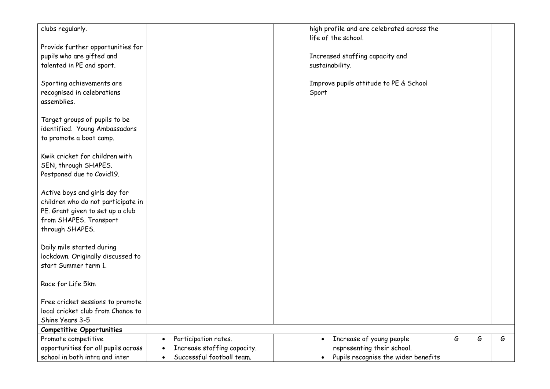| clubs regularly.                    |                             | high profile and are celebrated across the<br>life of the school. |   |   |   |
|-------------------------------------|-----------------------------|-------------------------------------------------------------------|---|---|---|
| Provide further opportunities for   |                             |                                                                   |   |   |   |
| pupils who are gifted and           |                             |                                                                   |   |   |   |
|                                     |                             | Increased staffing capacity and                                   |   |   |   |
| talented in PE and sport.           |                             | sustainability.                                                   |   |   |   |
| Sporting achievements are           |                             | Improve pupils attitude to PE & School                            |   |   |   |
| recognised in celebrations          |                             | Sport                                                             |   |   |   |
| assemblies.                         |                             |                                                                   |   |   |   |
|                                     |                             |                                                                   |   |   |   |
| Target groups of pupils to be       |                             |                                                                   |   |   |   |
| identified. Young Ambassadors       |                             |                                                                   |   |   |   |
| to promote a boot camp.             |                             |                                                                   |   |   |   |
| Kwik cricket for children with      |                             |                                                                   |   |   |   |
| SEN, through SHAPES.                |                             |                                                                   |   |   |   |
| Postponed due to Covid19.           |                             |                                                                   |   |   |   |
|                                     |                             |                                                                   |   |   |   |
| Active boys and girls day for       |                             |                                                                   |   |   |   |
| children who do not participate in  |                             |                                                                   |   |   |   |
| PE. Grant given to set up a club    |                             |                                                                   |   |   |   |
| from SHAPES. Transport              |                             |                                                                   |   |   |   |
| through SHAPES.                     |                             |                                                                   |   |   |   |
|                                     |                             |                                                                   |   |   |   |
| Daily mile started during           |                             |                                                                   |   |   |   |
| lockdown. Originally discussed to   |                             |                                                                   |   |   |   |
| start Summer term 1.                |                             |                                                                   |   |   |   |
| Race for Life 5km                   |                             |                                                                   |   |   |   |
|                                     |                             |                                                                   |   |   |   |
| Free cricket sessions to promote    |                             |                                                                   |   |   |   |
| local cricket club from Chance to   |                             |                                                                   |   |   |   |
| Shine Years 3-5                     |                             |                                                                   |   |   |   |
| <b>Competitive Opportunities</b>    |                             |                                                                   |   |   |   |
| Promote competitive                 | Participation rates.        | Increase of young people<br>$\bullet$                             | G | G | G |
| opportunities for all pupils across | Increase staffing capacity. | representing their school.                                        |   |   |   |
| school in both intra and inter      | Successful football team.   | Pupils recognise the wider benefits                               |   |   |   |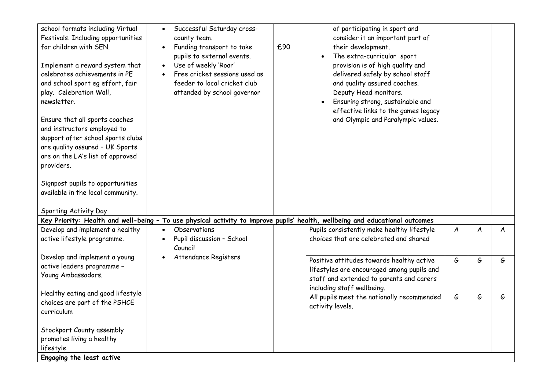| school formats including Virtual<br>Festivals. Including opportunities<br>for children with SEN.<br>Implement a reward system that<br>celebrates achievements in PE<br>and school sport eg effort, fair<br>play. Celebration Wall,<br>newsletter.<br>Ensure that all sports coaches<br>and instructors employed to<br>support after school sports clubs<br>are quality assured - UK Sports<br>are on the LA's list of approved<br>providers.<br>Signpost pupils to opportunities<br>available in the local community.<br>Sporting Activity Day | Successful Saturday cross-<br>county team.<br>Funding transport to take<br>pupils to external events.<br>Use of weekly 'Roar'<br>Free cricket sessions used as<br>feeder to local cricket club<br>attended by school governor | £90 | of participating in sport and<br>consider it an important part of<br>their development.<br>The extra-curricular sport<br>provision is of high quality and<br>delivered safely by school staff<br>and quality assured coaches.<br>Deputy Head monitors.<br>Ensuring strong, sustainable and<br>effective links to the games legacy<br>and Olympic and Paralympic values. |   |   |   |
|------------------------------------------------------------------------------------------------------------------------------------------------------------------------------------------------------------------------------------------------------------------------------------------------------------------------------------------------------------------------------------------------------------------------------------------------------------------------------------------------------------------------------------------------|-------------------------------------------------------------------------------------------------------------------------------------------------------------------------------------------------------------------------------|-----|-------------------------------------------------------------------------------------------------------------------------------------------------------------------------------------------------------------------------------------------------------------------------------------------------------------------------------------------------------------------------|---|---|---|
|                                                                                                                                                                                                                                                                                                                                                                                                                                                                                                                                                |                                                                                                                                                                                                                               |     | Key Priority: Health and well-being - To use physical activity to improve pupils' health, wellbeing and educational outcomes                                                                                                                                                                                                                                            |   |   |   |
| Develop and implement a healthy                                                                                                                                                                                                                                                                                                                                                                                                                                                                                                                | <b>Observations</b><br>$\bullet$                                                                                                                                                                                              |     | Pupils consistently make healthy lifestyle                                                                                                                                                                                                                                                                                                                              | A | A | A |
| active lifestyle programme.                                                                                                                                                                                                                                                                                                                                                                                                                                                                                                                    | Pupil discussion - School<br>Council                                                                                                                                                                                          |     | choices that are celebrated and shared                                                                                                                                                                                                                                                                                                                                  |   |   |   |
| Develop and implement a young                                                                                                                                                                                                                                                                                                                                                                                                                                                                                                                  | Attendance Registers                                                                                                                                                                                                          |     | Positive attitudes towards healthy active                                                                                                                                                                                                                                                                                                                               | G | G | G |
| active leaders programme -                                                                                                                                                                                                                                                                                                                                                                                                                                                                                                                     |                                                                                                                                                                                                                               |     | lifestyles are encouraged among pupils and                                                                                                                                                                                                                                                                                                                              |   |   |   |
| Young Ambassadors.                                                                                                                                                                                                                                                                                                                                                                                                                                                                                                                             |                                                                                                                                                                                                                               |     | staff and extended to parents and carers                                                                                                                                                                                                                                                                                                                                |   |   |   |
|                                                                                                                                                                                                                                                                                                                                                                                                                                                                                                                                                |                                                                                                                                                                                                                               |     | including staff wellbeing.                                                                                                                                                                                                                                                                                                                                              |   |   |   |
| Healthy eating and good lifestyle                                                                                                                                                                                                                                                                                                                                                                                                                                                                                                              |                                                                                                                                                                                                                               |     | All pupils meet the nationally recommended                                                                                                                                                                                                                                                                                                                              | G | G | G |
| choices are part of the PSHCE                                                                                                                                                                                                                                                                                                                                                                                                                                                                                                                  |                                                                                                                                                                                                                               |     | activity levels.                                                                                                                                                                                                                                                                                                                                                        |   |   |   |
| curriculum                                                                                                                                                                                                                                                                                                                                                                                                                                                                                                                                     |                                                                                                                                                                                                                               |     |                                                                                                                                                                                                                                                                                                                                                                         |   |   |   |
| Stockport County assembly                                                                                                                                                                                                                                                                                                                                                                                                                                                                                                                      |                                                                                                                                                                                                                               |     |                                                                                                                                                                                                                                                                                                                                                                         |   |   |   |
| promotes living a healthy                                                                                                                                                                                                                                                                                                                                                                                                                                                                                                                      |                                                                                                                                                                                                                               |     |                                                                                                                                                                                                                                                                                                                                                                         |   |   |   |
| lifestyle                                                                                                                                                                                                                                                                                                                                                                                                                                                                                                                                      |                                                                                                                                                                                                                               |     |                                                                                                                                                                                                                                                                                                                                                                         |   |   |   |
| Engaging the least active                                                                                                                                                                                                                                                                                                                                                                                                                                                                                                                      |                                                                                                                                                                                                                               |     |                                                                                                                                                                                                                                                                                                                                                                         |   |   |   |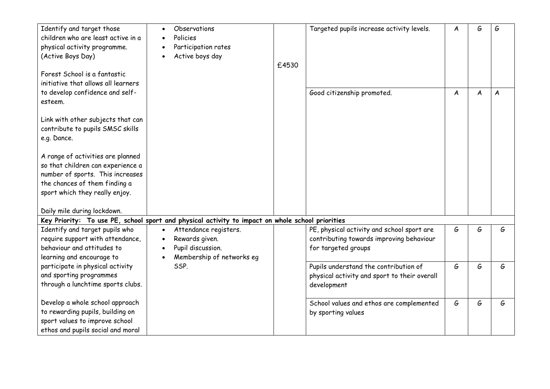| Identify and target those<br>children who are least active in a<br>physical activity programme.<br>(Active Boys Day)<br>Forest School is a fantastic<br>initiative that allows all learners | Observations<br>Policies<br>Participation rates<br>Active boys day                                     | £4530 | Targeted pupils increase activity levels.                                                                     | A | G | G |
|---------------------------------------------------------------------------------------------------------------------------------------------------------------------------------------------|--------------------------------------------------------------------------------------------------------|-------|---------------------------------------------------------------------------------------------------------------|---|---|---|
| to develop confidence and self-<br>esteem.                                                                                                                                                  |                                                                                                        |       | Good citizenship promoted.                                                                                    | A | A | A |
| Link with other subjects that can<br>contribute to pupils SMSC skills<br>e.g. Dance.                                                                                                        |                                                                                                        |       |                                                                                                               |   |   |   |
| A range of activities are planned<br>so that children can experience a<br>number of sports. This increases<br>the chances of them finding a                                                 |                                                                                                        |       |                                                                                                               |   |   |   |
| sport which they really enjoy.<br>Daily mile during lockdown.                                                                                                                               |                                                                                                        |       |                                                                                                               |   |   |   |
|                                                                                                                                                                                             | Key Priority: To use PE, school sport and physical activity to impact on whole school priorities       |       |                                                                                                               |   |   |   |
| Identify and target pupils who<br>require support with attendance,<br>behaviour and attitudes to<br>learning and encourage to                                                               | Attendance registers.<br>$\bullet$<br>Rewards given.<br>Pupil discussion.<br>Membership of networks eq |       | PE, physical activity and school sport are<br>contributing towards improving behaviour<br>for targeted groups | G | G | G |
| participate in physical activity<br>and sporting programmes<br>through a lunchtime sports clubs.                                                                                            | SSP.                                                                                                   |       | Pupils understand the contribution of<br>physical activity and sport to their overall<br>development          | G | G | G |
| Develop a whole school approach<br>to rewarding pupils, building on<br>sport values to improve school<br>ethos and pupils social and moral                                                  |                                                                                                        |       | School values and ethos are complemented<br>by sporting values                                                | G | G | G |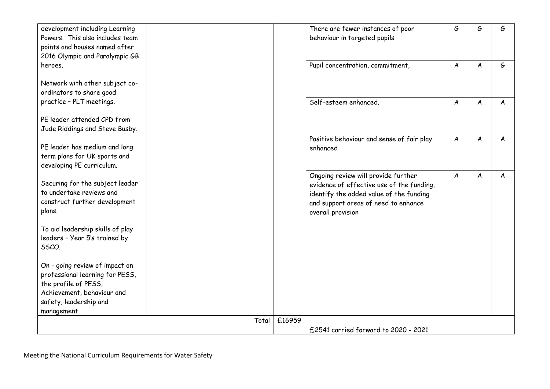| development including Learning<br>Powers. This also includes team<br>points and houses named after<br>2016 Olympic and Paralympic GB |       |        | There are fewer instances of poor<br>behaviour in targeted pupils                                                                                                                        | G | G | G |
|--------------------------------------------------------------------------------------------------------------------------------------|-------|--------|------------------------------------------------------------------------------------------------------------------------------------------------------------------------------------------|---|---|---|
| heroes.                                                                                                                              |       |        | Pupil concentration, commitment,                                                                                                                                                         | A | A | G |
| Network with other subject co-<br>ordinators to share good                                                                           |       |        |                                                                                                                                                                                          |   |   |   |
| practice - PLT meetings.                                                                                                             |       |        | Self-esteem enhanced.                                                                                                                                                                    | A | A | A |
| PE leader attended CPD from<br>Jude Riddings and Steve Busby.                                                                        |       |        |                                                                                                                                                                                          |   |   |   |
| PE leader has medium and long<br>term plans for UK sports and<br>developing PE curriculum.                                           |       |        | Positive behaviour and sense of fair play<br>enhanced                                                                                                                                    | A | A | A |
| Securing for the subject leader<br>to undertake reviews and<br>construct further development<br>plans.                               |       |        | Ongoing review will provide further<br>evidence of effective use of the funding,<br>identify the added value of the funding<br>and support areas of need to enhance<br>overall provision | A | A | A |
| To aid leadership skills of play<br>leaders - Year 5's trained by<br>SSCO.                                                           |       |        |                                                                                                                                                                                          |   |   |   |
| On - going review of impact on<br>professional learning for PESS,<br>the profile of PESS,                                            |       |        |                                                                                                                                                                                          |   |   |   |
| Achievement, behaviour and                                                                                                           |       |        |                                                                                                                                                                                          |   |   |   |
| safety, leadership and<br>management.                                                                                                |       |        |                                                                                                                                                                                          |   |   |   |
|                                                                                                                                      | Total | £16959 |                                                                                                                                                                                          |   |   |   |
|                                                                                                                                      |       |        | £2541 carried forward to 2020 - 2021                                                                                                                                                     |   |   |   |